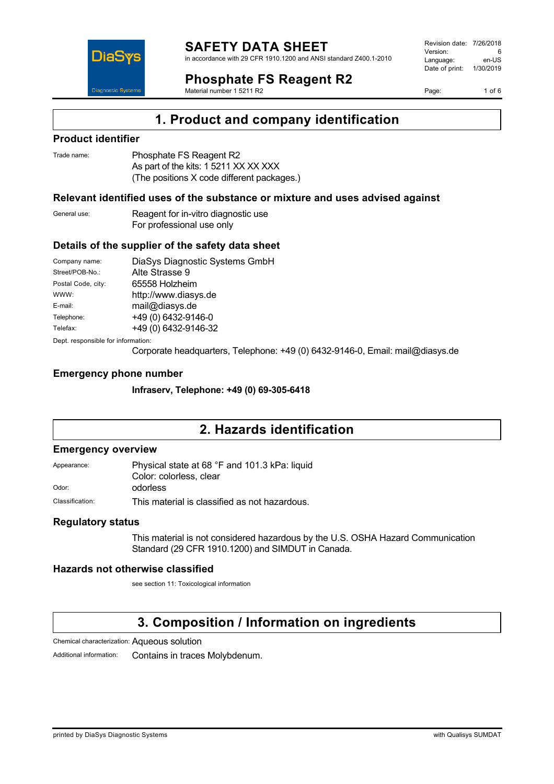

in accordance with 29 CFR 1910.1200 and ANSI standard Z400.1-2010

# **Phosphate FS Reagent R2**

Material number 1 5211 R2

Revision date: 7/26/2018 Version: 6<br>Language: en-LIS Language: Date of print: 1/30/2019

Page: 1 of 6

## **1. Product and company identification**

### **Product identifier**

DiaS

**Diagnostic Systen** 

| Trade name: | Phosphate FS Reagent R2                    |
|-------------|--------------------------------------------|
|             | As part of the kits: 1 5211 XX XX XXX      |
|             | (The positions X code different packages.) |

### **Relevant identified uses of the substance or mixture and uses advised against**

General use: Reagent for in-vitro diagnostic use For professional use only

### **Details of the supplier of the safety data sheet**

| Company name:                      | DiaSys Diagnostic Systems GmbH |  |
|------------------------------------|--------------------------------|--|
| Street/POB-No.:                    | Alte Strasse 9                 |  |
| Postal Code, city:                 | 65558 Holzheim                 |  |
| WWW:                               | http://www.diasys.de           |  |
| E-mail:                            | mail@diasys.de                 |  |
| Telephone:                         | +49 (0) 6432-9146-0            |  |
| Telefax:                           | +49 (0) 6432-9146-32           |  |
| Dept. responsible for information: |                                |  |

Corporate headquarters, Telephone: +49 (0) 6432-9146-0, Email: mail@diasys.de

### **Emergency phone number**

**Infraserv, Telephone: +49 (0) 69-305-6418**

## **2. Hazards identification**

#### **Emergency overview**

Appearance: Physical state at 68 °F and 101.3 kPa: liquid Color: colorless, clear Odor: odorless

Classification: This material is classified as not hazardous.

### **Regulatory status**

This material is not considered hazardous by the U.S. OSHA Hazard Communication Standard (29 CFR 1910.1200) and SIMDUT in Canada.

### **Hazards not otherwise classified**

see section 11: Toxicological information

## **3. Composition / Information on ingredients**

Chemical characterization: Aqueous solution

Additional information: Contains in traces Molybdenum.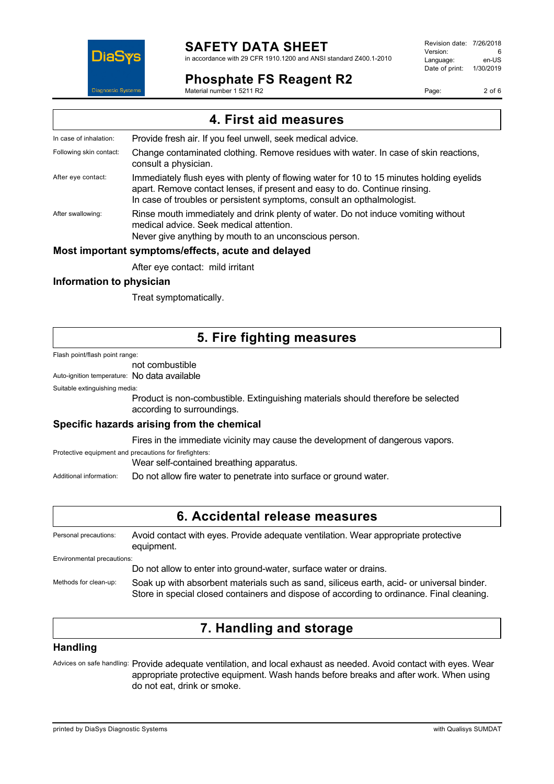## **SAFETY DATA SHEET**

in accordance with 29 CFR 1910.1200 and ANSI standard Z400.1-2010

## **Phosphate FS Reagent R2**

Material number 1 5211 R2

Revision date: 7/26/2018 Version: 6<br>Language: en-LIS Language: Date of print: 1/30/2019

Page: 2 of 6



## **Information to physician**

Treat symptomatically.

## **5. Fire fighting measures**

Flash point/flash point range:

### not combustible

Auto-ignition temperature: No data available

Suitable extinguishing media:

Product is non-combustible. Extinguishing materials should therefore be selected according to surroundings.

### **Specific hazards arising from the chemical**

Fires in the immediate vicinity may cause the development of dangerous vapors.

Protective equipment and precautions for firefighters:

Wear self-contained breathing apparatus.

Additional information: Do not allow fire water to penetrate into surface or ground water.

### **6. Accidental release measures**

Personal precautions: Avoid contact with eyes. Provide adequate ventilation. Wear appropriate protective equipment. Environmental precautions: Do not allow to enter into ground-water, surface water or drains. Methods for clean-up: Soak up with absorbent materials such as sand, siliceus earth, acid- or universal binder. Store in special closed containers and dispose of according to ordinance. Final cleaning.

## **7. Handling and storage**

### **Handling**

Advices on safe handling: Provide adequate ventilation, and local exhaust as needed. Avoid contact with eyes. Wear appropriate protective equipment. Wash hands before breaks and after work. When using do not eat, drink or smoke.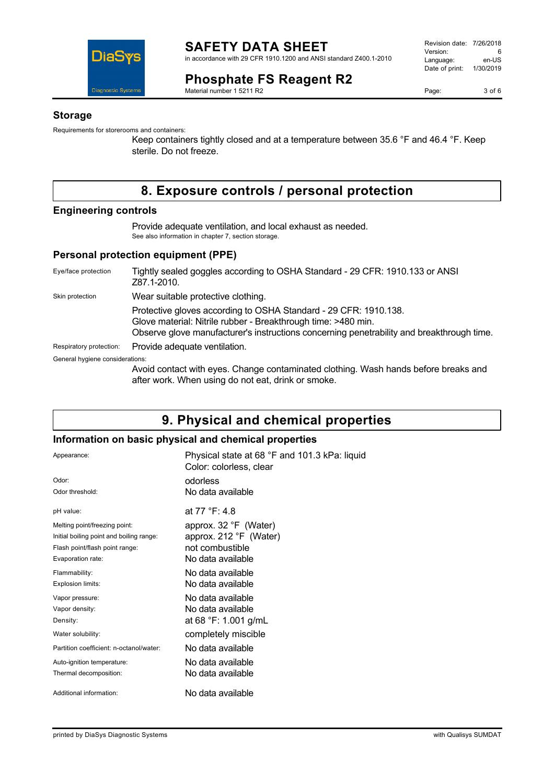

### **Phosphate FS Reagent R2** Material number 1 5211 R2

Revision date: 7/26/2018 Version: 6<br>
Language: en-US Language: Date of print: 1/30/2019

Page: 3 of 6

### **Storage**

Requirements for storerooms and containers:

Keep containers tightly closed and at a temperature between 35.6 °F and 46.4 °F. Keep sterile. Do not freeze.

# **8. Exposure controls / personal protection**

### **Engineering controls**

Provide adequate ventilation, and local exhaust as needed. See also information in chapter 7, section storage.

### **Personal protection equipment (PPE)**

| Eye/face protection             | Tightly sealed goggles according to OSHA Standard - 29 CFR: 1910.133 or ANSI<br>Z87.1-2010.                                                                                                                                    |
|---------------------------------|--------------------------------------------------------------------------------------------------------------------------------------------------------------------------------------------------------------------------------|
| Skin protection                 | Wear suitable protective clothing.                                                                                                                                                                                             |
|                                 | Protective gloves according to OSHA Standard - 29 CFR: 1910.138.<br>Glove material: Nitrile rubber - Breakthrough time: >480 min.<br>Observe glove manufacturer's instructions concerning penetrability and breakthrough time. |
| Respiratory protection:         | Provide adequate ventilation.                                                                                                                                                                                                  |
| General hygiene considerations: |                                                                                                                                                                                                                                |
|                                 | Avoid contact with eyes. Change contaminated clothing. Wash hands before breaks and<br>after work. When using do not eat, drink or smoke.                                                                                      |

## **9. Physical and chemical properties**

### **Information on basic physical and chemical properties**

| Appearance:                              | Physical state at 68 °F and 101.3 kPa: liquid<br>Color: colorless, clear |
|------------------------------------------|--------------------------------------------------------------------------|
| Odor:                                    | odorless                                                                 |
| Odor threshold:                          | No data available                                                        |
| pH value:                                | at 77 °F: 4.8                                                            |
| Melting point/freezing point:            | approx. 32 °F (Water)                                                    |
| Initial boiling point and boiling range: | approx. 212 °F (Water)                                                   |
| Flash point/flash point range:           | not combustible                                                          |
| Evaporation rate:                        | No data available                                                        |
| Flammability:                            | No data available                                                        |
| Explosion limits:                        | No data available                                                        |
| Vapor pressure:                          | No data available                                                        |
| Vapor density:                           | No data available                                                        |
| Density:                                 | at 68 °F: 1.001 g/mL                                                     |
| Water solubility:                        | completely miscible                                                      |
| Partition coefficient: n-octanol/water:  | No data available                                                        |
| Auto-ignition temperature:               | No data available                                                        |
| Thermal decomposition:                   | No data available                                                        |
| Additional information:                  | No data available                                                        |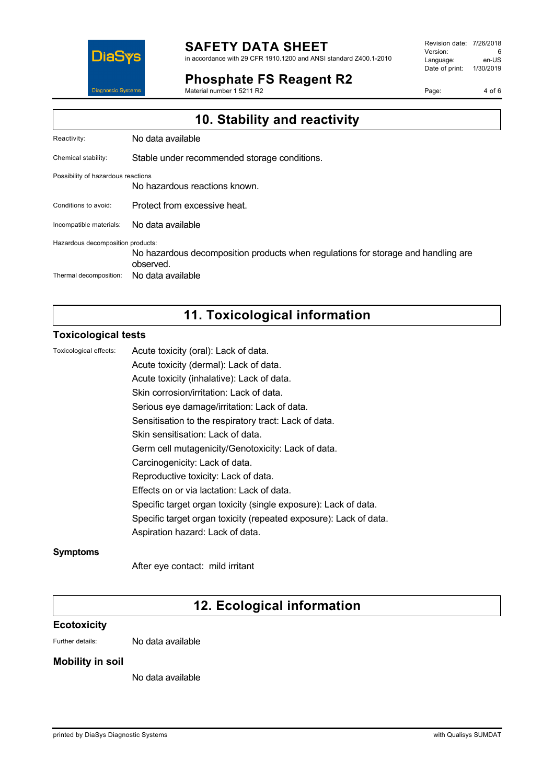

#### **SAFETY DATA SHEET** in accordance with 29 CFR 1910.1200 and ANSI standard Z400.1-2010

**Phosphate FS Reagent R2**

Material number 1 5211 R2

Revision date: 7/26/2018 Version: 6<br>
Language: en-US Language: Date of print: 1/30/2019

Page: 4 of 6

| 10. Stability and reactivity       |                                                                                                |
|------------------------------------|------------------------------------------------------------------------------------------------|
| Reactivity:                        | No data available                                                                              |
| Chemical stability:                | Stable under recommended storage conditions.                                                   |
| Possibility of hazardous reactions | No hazardous reactions known.                                                                  |
| Conditions to avoid:               | Protect from excessive heat.                                                                   |
| Incompatible materials:            | No data available                                                                              |
| Hazardous decomposition products:  | No hazardous decomposition products when regulations for storage and handling are<br>observed. |
| Thermal decomposition:             | No data available                                                                              |

# **11. Toxicological information**

### **Toxicological tests**

| Toxicological effects: | Acute toxicity (oral): Lack of data.                              |
|------------------------|-------------------------------------------------------------------|
|                        | Acute toxicity (dermal): Lack of data.                            |
|                        | Acute toxicity (inhalative): Lack of data.                        |
|                        | Skin corrosion/irritation: Lack of data.                          |
|                        | Serious eye damage/irritation: Lack of data.                      |
|                        | Sensitisation to the respiratory tract: Lack of data.             |
|                        | Skin sensitisation: Lack of data.                                 |
|                        | Germ cell mutagenicity/Genotoxicity: Lack of data.                |
|                        | Carcinogenicity: Lack of data.                                    |
|                        | Reproductive toxicity: Lack of data.                              |
|                        | Effects on or via lactation: Lack of data.                        |
|                        | Specific target organ toxicity (single exposure): Lack of data.   |
|                        | Specific target organ toxicity (repeated exposure): Lack of data. |
|                        | Aspiration hazard: Lack of data.                                  |
|                        |                                                                   |

### **Symptoms**

After eye contact: mild irritant

## **12. Ecological information**

### **Ecotoxicity**

Further details: No data available

### **Mobility in soil**

No data available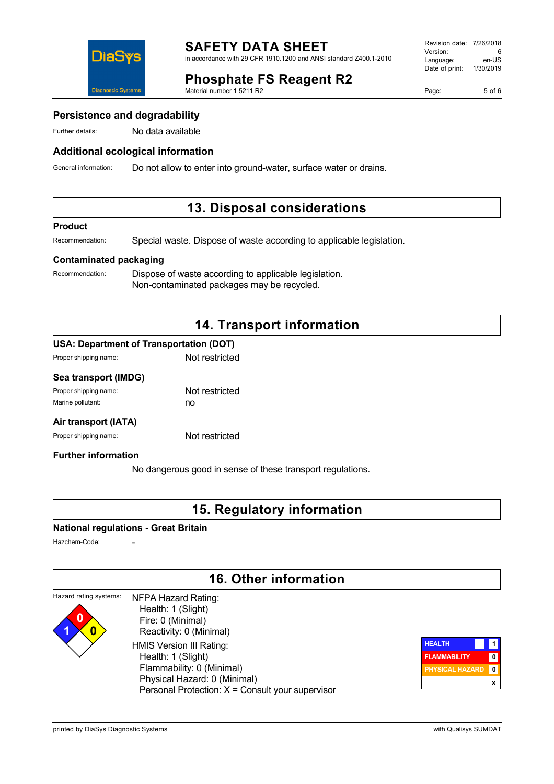

## **Phosphate FS Reagent R2**

Material number 1 5211 R2

Page: 5 of 6

### **Persistence and degradability**

Further details: No data available

### **Additional ecological information**

General information: Do not allow to enter into ground-water, surface water or drains.

### **13. Disposal considerations**

#### **Product**

Recommendation: Special waste. Dispose of waste according to applicable legislation.

### **Contaminated packaging**

Recommendation: Dispose of waste according to applicable legislation. Non-contaminated packages may be recycled.

## **14. Transport information**

### **USA: Department of Transportation (DOT)**

| Proper shipping name: | Not restricted |
|-----------------------|----------------|
|                       |                |

### **Sea transport (IMDG)**

| Proper shipping name: | Not restricted |
|-----------------------|----------------|
| Marine pollutant:     | no             |

### **Air transport (IATA)**

Proper shipping name: Not restricted

### **Further information**

No dangerous good in sense of these transport regulations.

### **15. Regulatory information**

#### **National regulations - Great Britain**

Hazchem-Code:

**1 0**

## **16. Other information**

#### Hazard rating systems: **0** NFPA Hazard Rating: Health: 1 (Slight)

 Fire: 0 (Minimal) Reactivity: 0 (Minimal) HMIS Version III Rating: Health: 1 (Slight) Flammability: 0 (Minimal) Physical Hazard: 0 (Minimal) Personal Protection: X = Consult your supervisor